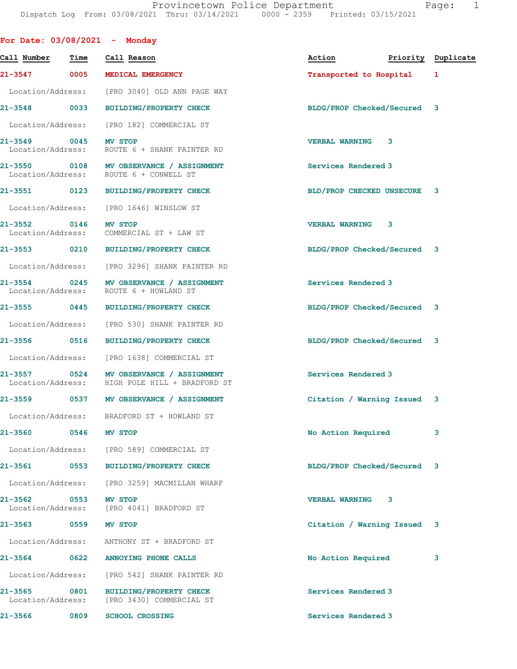|                                   |                          | For Date: $03/08/2021$ - Monday                                                           |                                  |   |   |
|-----------------------------------|--------------------------|-------------------------------------------------------------------------------------------|----------------------------------|---|---|
| Call Number                       | Time                     | Call Reason                                                                               | Action <b>Priority</b> Duplicate |   |   |
|                                   |                          | 21-3547 0005 MEDICAL EMERGENCY                                                            | Transported to Hospital 1        |   |   |
|                                   |                          | Location/Address: [PRO 3040] OLD ANN PAGE WAY                                             |                                  |   |   |
|                                   |                          | 21-3548 0033 BUILDING/PROPERTY CHECK                                                      | BLDG/PROP Checked/Secured 3      |   |   |
|                                   |                          | Location/Address: [PRO 182] COMMERCIAL ST                                                 |                                  |   |   |
| 21-3549 0045 MV STOP              |                          | Location/Address: ROUTE 6 + SHANK PAINTER RD                                              | <b>VERBAL WARNING</b>            | 3 |   |
|                                   |                          | 21-3550 0108 MV OBSERVANCE / ASSIGNMENT<br>Location/Address: ROUTE 6 + CONWELL ST         | Services Rendered 3              |   |   |
|                                   |                          | 21-3551 0123 BUILDING/PROPERTY CHECK                                                      | BLD/PROP CHECKED UNSECURE 3      |   |   |
|                                   |                          | Location/Address: [PRO 1646] WINSLOW ST                                                   |                                  |   |   |
| 21-3552 0146 MV STOP              |                          | Location/Address: COMMERCIAL ST + LAW ST                                                  | <b>VERBAL WARNING 3</b>          |   |   |
|                                   |                          | 21-3553 0210 BUILDING/PROPERTY CHECK                                                      | BLDG/PROP Checked/Secured 3      |   |   |
|                                   |                          | Location/Address: [PRO 3296] SHANK PAINTER RD                                             |                                  |   |   |
|                                   |                          | 21-3554 0245 MV OBSERVANCE / ASSIGNMENT<br>Location/Address: ROUTE 6 + HOWLAND ST         | Services Rendered 3              |   |   |
|                                   |                          | 21-3555 0445 BUILDING/PROPERTY CHECK                                                      | BLDG/PROP Checked/Secured 3      |   |   |
|                                   |                          | Location/Address: [PRO 530] SHANK PAINTER RD                                              |                                  |   |   |
|                                   |                          | 21-3556 0516 BUILDING/PROPERTY CHECK                                                      | BLDG/PROP Checked/Secured 3      |   |   |
|                                   |                          | Location/Address: [PRO 1638] COMMERCIAL ST                                                |                                  |   |   |
|                                   |                          | 21-3557 0524 MV OBSERVANCE / ASSIGNMENT<br>Location/Address: HIGH POLE HILL + BRADFORD ST | Services Rendered 3              |   |   |
|                                   |                          | 21-3559 0537 MV OBSERVANCE / ASSIGNMENT                                                   | Citation / Warning Issued 3      |   |   |
|                                   |                          | Location/Address: BRADFORD ST + HOWLAND ST                                                |                                  |   |   |
| $21 - 3560$                       | 0546                     | <b>MV STOP</b>                                                                            | No Action Required               |   | 3 |
|                                   |                          | Location/Address: [PRO 589] COMMERCIAL ST                                                 |                                  |   |   |
|                                   |                          | 21-3561 0553 BUILDING/PROPERTY CHECK                                                      | BLDG/PROP Checked/Secured 3      |   |   |
| Location/Address:                 |                          | [PRO 3259] MACMILLAN WHARF                                                                |                                  |   |   |
| 21-3562                           | $\overline{\text{0553}}$ | MV STOP<br>Location/Address: [PRO 4041] BRADFORD ST                                       | <b>VERBAL WARNING</b>            | 3 |   |
| 21-3563 0559                      |                          | <b>MV STOP</b>                                                                            | Citation / Warning Issued 3      |   |   |
| Location/Address:                 |                          | ANTHONY ST + BRADFORD ST                                                                  |                                  |   |   |
| 21-3564                           | 0622                     | ANNOYING PHONE CALLS                                                                      | No Action Required               |   | 3 |
| Location/Address:                 |                          | [PRO 542] SHANK PAINTER RD                                                                |                                  |   |   |
| 21-3565 0801<br>Location/Address: |                          | <b>BUILDING/PROPERTY CHECK</b><br>[PRO 3430] COMMERCIAL ST                                | Services Rendered 3              |   |   |
| 21-3566                           | 0809                     | <b>SCHOOL CROSSING</b>                                                                    | Services Rendered 3              |   |   |
|                                   |                          |                                                                                           |                                  |   |   |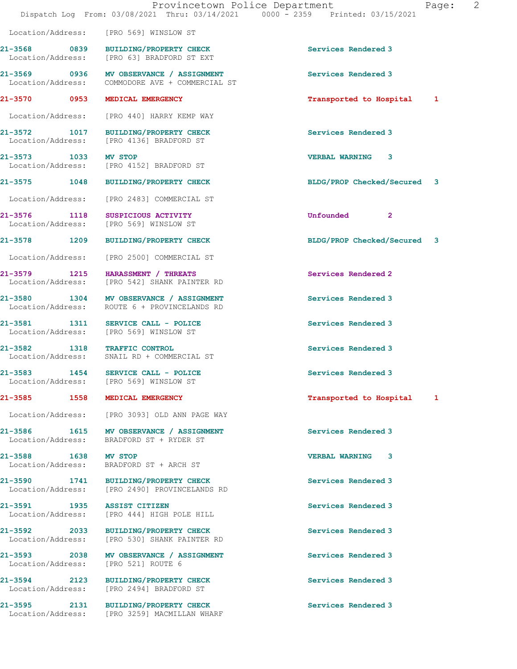|                              | Dispatch Log From: 03/08/2021 Thru: 03/14/2021 0000 - 2359 Printed: 03/15/2021             | Provincetown Police Department<br>Page: | 2 |
|------------------------------|--------------------------------------------------------------------------------------------|-----------------------------------------|---|
|                              | Location/Address: [PRO 569] WINSLOW ST                                                     |                                         |   |
|                              | 21-3568 0839 BUILDING/PROPERTY CHECK<br>Location/Address: [PRO 63] BRADFORD ST EXT         | Services Rendered 3                     |   |
|                              | 21-3569 0936 MV OBSERVANCE / ASSIGNMENT<br>Location/Address: COMMODORE AVE + COMMERCIAL ST | Services Rendered 3                     |   |
|                              | 21-3570 0953 MEDICAL EMERGENCY                                                             | Transported to Hospital 1               |   |
|                              | Location/Address: [PRO 440] HARRY KEMP WAY                                                 |                                         |   |
|                              | 21-3572 1017 BUILDING/PROPERTY CHECK<br>Location/Address: [PRO 4136] BRADFORD ST           | Services Rendered 3                     |   |
| 21-3573 1033 MV STOP         | Location/Address: [PRO 4152] BRADFORD ST                                                   | <b>VERBAL WARNING 3</b>                 |   |
|                              | 21-3575 1048 BUILDING/PROPERTY CHECK                                                       | BLDG/PROP Checked/Secured 3             |   |
|                              | Location/Address: [PRO 2483] COMMERCIAL ST                                                 |                                         |   |
|                              | 21-3576 1118 SUSPICIOUS ACTIVITY<br>Location/Address: [PRO 569] WINSLOW ST                 | Unfounded<br>$\mathbf{2}$               |   |
|                              | 21-3578 1209 BUILDING/PROPERTY CHECK                                                       | BLDG/PROP Checked/Secured 3             |   |
|                              | Location/Address: [PRO 2500] COMMERCIAL ST                                                 |                                         |   |
|                              | 21-3579 1215 HARASSMENT / THREATS<br>Location/Address: [PRO 542] SHANK PAINTER RD          | Services Rendered 2                     |   |
|                              | 21-3580 1304 MV OBSERVANCE / ASSIGNMENT<br>Location/Address: ROUTE 6 + PROVINCELANDS RD    | Services Rendered 3                     |   |
|                              | 21-3581 1311 SERVICE CALL - POLICE<br>Location/Address: [PRO 569] WINSLOW ST               | Services Rendered 3                     |   |
| 21-3582<br>Location/Address: | 1318 TRAFFIC CONTROL<br>SNAIL RD + COMMERCIAL ST                                           | Services Rendered 3                     |   |
| 21-3583                      | 1454 SERVICE CALL - POLICE<br>Location/Address: [PRO 569] WINSLOW ST                       | Services Rendered 3                     |   |
|                              | 21-3585 1558 MEDICAL EMERGENCY                                                             | Transported to Hospital 1               |   |
|                              | Location/Address: [PRO 3093] OLD ANN PAGE WAY                                              |                                         |   |
|                              | 21-3586 1615 MV OBSERVANCE / ASSIGNMENT<br>Location/Address: BRADFORD ST + RYDER ST        | Services Rendered 3                     |   |
| 21-3588 1638 MV STOP         | Location/Address: BRADFORD ST + ARCH ST                                                    | <b>VERBAL WARNING 3</b>                 |   |
|                              | 21-3590 1741 BUILDING/PROPERTY CHECK<br>Location/Address: [PRO 2490] PROVINCELANDS RD      | Services Rendered 3                     |   |
| 21-3591 1935 ASSIST CITIZEN  | Location/Address: [PRO 444] HIGH POLE HILL                                                 | Services Rendered 3                     |   |
|                              | 21-3592 2033 BUILDING/PROPERTY CHECK<br>Location/Address: [PRO 530] SHANK PAINTER RD       | Services Rendered 3                     |   |
|                              | 21-3593 2038 MV OBSERVANCE / ASSIGNMENT<br>Location/Address: [PRO 521] ROUTE 6             | Services Rendered 3                     |   |
|                              | 21-3594 2123 BUILDING/PROPERTY CHECK<br>Location/Address: [PRO 2494] BRADFORD ST           | Services Rendered 3                     |   |
|                              | 21-3595 2131 BUILDING/PROPERTY CHECK<br>Location/Address: [PRO 3259] MACMILLAN WHARF       | Services Rendered 3                     |   |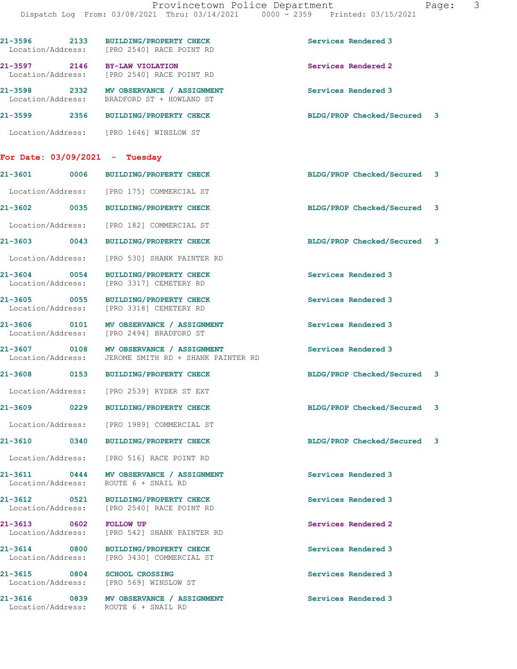|                                   |      | 21-3596 2133 BUILDING/PROPERTY CHECK<br>Location/Address: [PRO 2540] RACE POINT RD    | Services Rendered 3         |   |
|-----------------------------------|------|---------------------------------------------------------------------------------------|-----------------------------|---|
|                                   |      | 21-3597 2146 BY-LAW VIOLATION<br>Location/Address: [PRO 2540] RACE POINT RD           | Services Rendered 2         |   |
|                                   |      | 21-3598 2332 MV OBSERVANCE / ASSIGNMENT<br>Location/Address: BRADFORD ST + HOWLAND ST | Services Rendered 3         |   |
|                                   |      | 21-3599 2356 BUILDING/PROPERTY CHECK                                                  | BLDG/PROP Checked/Secured 3 |   |
|                                   |      | Location/Address: [PRO 1646] WINSLOW ST                                               |                             |   |
| For Date: $03/09/2021$ - Tuesday  |      |                                                                                       |                             |   |
| 21-3601 0006                      |      | <b>BUILDING/PROPERTY CHECK</b>                                                        | BLDG/PROP Checked/Secured 3 |   |
|                                   |      | Location/Address: [PRO 175] COMMERCIAL ST                                             |                             |   |
|                                   |      | 21-3602 0035 BUILDING/PROPERTY CHECK                                                  | BLDG/PROP Checked/Secured 3 |   |
| Location/Address:                 |      | [PRO 182] COMMERCIAL ST                                                               |                             |   |
| 21-3603 0043                      |      | <b>BUILDING/PROPERTY CHECK</b>                                                        | BLDG/PROP Checked/Secured 3 |   |
| Location/Address:                 |      | [PRO 530] SHANK PAINTER RD                                                            |                             |   |
| 21-3604 0054<br>Location/Address: |      | <b>BUILDING/PROPERTY CHECK</b><br>[PRO 3317] CEMETERY RD                              | Services Rendered 3         |   |
| 21-3605 0055<br>Location/Address: |      | <b>BUILDING/PROPERTY CHECK</b><br>[PRO 3318] CEMETERY RD                              | Services Rendered 3         |   |
| 21-3606 0101<br>Location/Address: |      | MV OBSERVANCE / ASSIGNMENT<br>[PRO 2494] BRADFORD ST                                  | Services Rendered 3         |   |
| 21-3607 0108<br>Location/Address: |      | MV OBSERVANCE / ASSIGNMENT<br>JEROME SMITH RD + SHANK PAINTER RD                      | Services Rendered 3         |   |
| 21-3608 0153                      |      | BUILDING/PROPERTY CHECK                                                               | BLDG/PROP Checked/Secured 3 |   |
|                                   |      | Location/Address: [PRO 2539] RYDER ST EXT                                             |                             |   |
| 21-3609                           | 0229 | BUILDING/PROPERTY CHECK                                                               | BLDG/PROP Checked/Secured   | 3 |
|                                   |      | Location/Address: [PRO 1989] COMMERCIAL ST                                            |                             |   |
|                                   |      | 21-3610 0340 BUILDING/PROPERTY CHECK                                                  | BLDG/PROP Checked/Secured 3 |   |
|                                   |      | Location/Address: [PRO 516] RACE POINT RD                                             |                             |   |
|                                   |      | 21-3611 0444 MV OBSERVANCE / ASSIGNMENT<br>Location/Address: ROUTE 6 + SNAIL RD       | Services Rendered 3         |   |
|                                   |      | 21-3612 0521 BUILDING/PROPERTY CHECK<br>Location/Address: [PRO 2540] RACE POINT RD    | Services Rendered 3         |   |
| 21-3613 0602 FOLLOW UP            |      | Location/Address: [PRO 542] SHANK PAINTER RD                                          | Services Rendered 2         |   |
| 21-3614 0800                      |      | <b>BUILDING/PROPERTY CHECK</b><br>Location/Address: [PRO 3430] COMMERCIAL ST          | Services Rendered 3         |   |
| 21-3615 0804                      |      | <b>SCHOOL CROSSING</b><br>Location/Address: [PRO 569] WINSLOW ST                      | Services Rendered 3         |   |
|                                   |      | 21-3616 0839 MV OBSERVANCE / ASSIGNMENT<br>Location/Address: ROUTE 6 + SNAIL RD       | Services Rendered 3         |   |
|                                   |      |                                                                                       |                             |   |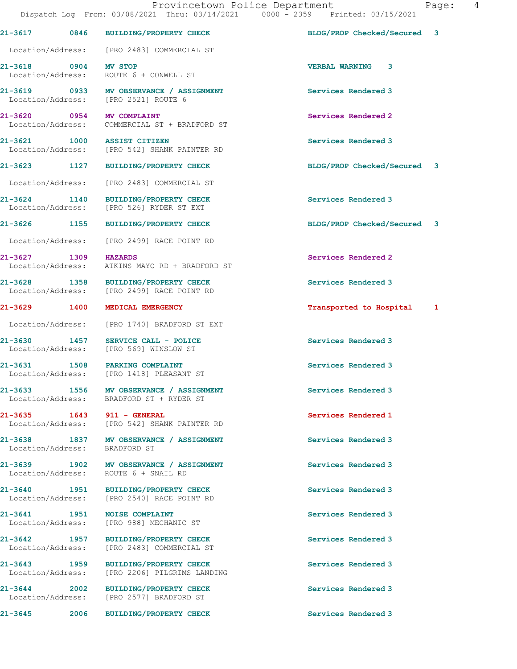|                               | 21-3617 0846 BUILDING/PROPERTY CHECK                                                  | BLDG/PROP Checked/Secured 3 |  |
|-------------------------------|---------------------------------------------------------------------------------------|-----------------------------|--|
|                               | Location/Address: [PRO 2483] COMMERCIAL ST                                            |                             |  |
| 21-3618 0904                  | <b>MV STOP</b><br>Location/Address: ROUTE 6 + CONWELL ST                              | <b>VERBAL WARNING</b><br>3  |  |
|                               | 21-3619 0933 MV OBSERVANCE / ASSIGNMENT<br>Location/Address: [PRO 2521] ROUTE 6       | Services Rendered 3         |  |
| 21-3620 0954 MV COMPLAINT     | Location/Address: COMMERCIAL ST + BRADFORD ST                                         | Services Rendered 2         |  |
|                               | 21-3621 1000 ASSIST CITIZEN<br>Location/Address: [PRO 542] SHANK PAINTER RD           | Services Rendered 3         |  |
|                               | 21-3623 1127 BUILDING/PROPERTY CHECK                                                  | BLDG/PROP Checked/Secured 3 |  |
|                               | Location/Address: [PRO 2483] COMMERCIAL ST                                            |                             |  |
|                               | 21-3624 1140 BUILDING/PROPERTY CHECK<br>Location/Address: [PRO 526] RYDER ST EXT      | Services Rendered 3         |  |
|                               | 21-3626 1155 BUILDING/PROPERTY CHECK                                                  | BLDG/PROP Checked/Secured 3 |  |
|                               | Location/Address: [PRO 2499] RACE POINT RD                                            |                             |  |
| 21-3627 1309 HAZARDS          | Location/Address: ATKINS MAYO RD + BRADFORD ST                                        | Services Rendered 2         |  |
|                               | 21-3628 1358 BUILDING/PROPERTY CHECK<br>Location/Address: [PRO 2499] RACE POINT RD    | Services Rendered 3         |  |
| 21-3629 1400                  | MEDICAL EMERGENCY                                                                     | Transported to Hospital 1   |  |
|                               | Location/Address: [PRO 1740] BRADFORD ST EXT                                          |                             |  |
| 21-3630 1457                  | SERVICE CALL - POLICE<br>Location/Address: [PRO 569] WINSLOW ST                       | Services Rendered 3         |  |
|                               | 21-3631 1508 PARKING COMPLAINT<br>Location/Address: [PRO 1418] PLEASANT ST            | Services Rendered 3         |  |
|                               | 21-3633 1556 MV OBSERVANCE / ASSIGNMENT<br>Location/Address: BRADFORD ST + RYDER ST   | Services Rendered 3         |  |
| 21-3635 1643 911 - GENERAL    | Location/Address: [PRO 542] SHANK PAINTER RD                                          | Services Rendered 1         |  |
| Location/Address: BRADFORD ST | 21-3638 1837 MV OBSERVANCE / ASSIGNMENT                                               | Services Rendered 3         |  |
|                               | 21-3639 1902 MV OBSERVANCE / ASSIGNMENT<br>Location/Address: ROUTE 6 + SNAIL RD       | Services Rendered 3         |  |
|                               | 21-3640 1951 BUILDING/PROPERTY CHECK<br>Location/Address: [PRO 2540] RACE POINT RD    | Services Rendered 3         |  |
|                               | 21-3641 1951 NOISE COMPLAINT<br>Location/Address: [PRO 988] MECHANIC ST               | Services Rendered 3         |  |
|                               | 21-3642 1957 BUILDING/PROPERTY CHECK<br>Location/Address: [PRO 2483] COMMERCIAL ST    | Services Rendered 3         |  |
|                               | 21-3643 1959 BUILDING/PROPERTY CHECK<br>Location/Address: [PRO 2206] PILGRIMS LANDING | Services Rendered 3         |  |
|                               | 21-3644 2002 BUILDING/PROPERTY CHECK<br>Location/Address: [PRO 2577] BRADFORD ST      | Services Rendered 3         |  |
|                               | 21-3645 2006 BUILDING/PROPERTY CHECK                                                  | Services Rendered 3         |  |
|                               |                                                                                       |                             |  |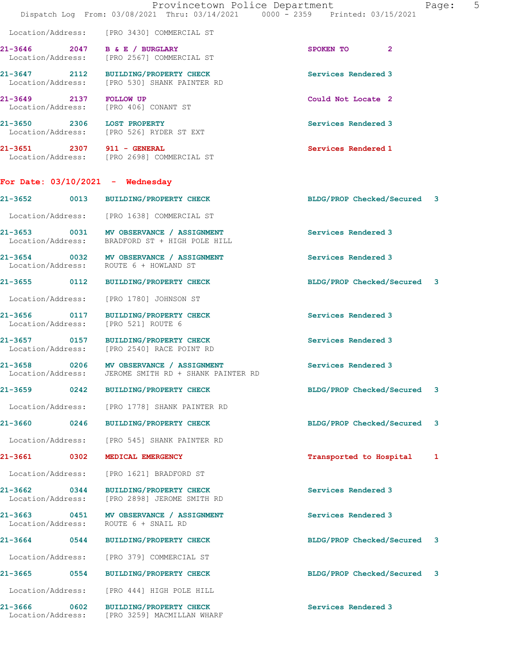|                                    |      | Provincetown Police Department<br>Dispatch Log From: 03/08/2021 Thru: 03/14/2021 0000 - 2359 Printed: 03/15/2021 |                             | 5<br>Page: |
|------------------------------------|------|------------------------------------------------------------------------------------------------------------------|-----------------------------|------------|
|                                    |      | Location/Address: [PRO 3430] COMMERCIAL ST                                                                       |                             |            |
|                                    |      | 21-3646 2047 B & E / BURGLARY<br>Location/Address: [PRO 2567] COMMERCIAL ST                                      | SPOKEN TO 2                 |            |
|                                    |      | 21-3647 2112 BUILDING/PROPERTY CHECK<br>Location/Address: [PRO 530] SHANK PAINTER RD                             | Services Rendered 3         |            |
| 21-3649 2137 FOLLOW UP             |      | Location/Address: [PRO 406] CONANT ST                                                                            | Could Not Locate 2          |            |
|                                    |      | 21-3650 2306 LOST PROPERTY<br>Location/Address: [PRO 526] RYDER ST EXT                                           | Services Rendered 3         |            |
| 21-3651 2307 911 - GENERAL         |      | Location/Address: [PRO 2698] COMMERCIAL ST                                                                       | Services Rendered 1         |            |
| For Date: $03/10/2021$ - Wednesday |      |                                                                                                                  |                             |            |
|                                    |      | 21-3652 0013 BUILDING/PROPERTY CHECK                                                                             | BLDG/PROP Checked/Secured 3 |            |
|                                    |      | Location/Address: [PRO 1638] COMMERCIAL ST                                                                       |                             |            |
|                                    |      | 21-3653 0031 MV OBSERVANCE / ASSIGNMENT<br>Location/Address: BRADFORD ST + HIGH POLE HILL                        | Services Rendered 3         |            |
|                                    |      | 21-3654 0032 MV OBSERVANCE / ASSIGNMENT<br>Location/Address: ROUTE 6 + HOWLAND ST                                | Services Rendered 3         |            |
|                                    |      | 21-3655 0112 BUILDING/PROPERTY CHECK                                                                             | BLDG/PROP Checked/Secured 3 |            |
|                                    |      | Location/Address: [PRO 1780] JOHNSON ST                                                                          |                             |            |
|                                    |      | 21-3656 0117 BUILDING/PROPERTY CHECK<br>Location/Address: [PRO 521] ROUTE 6                                      | Services Rendered 3         |            |
|                                    |      | 21-3657 0157 BUILDING/PROPERTY CHECK<br>Location/Address: [PRO 2540] RACE POINT RD                               | Services Rendered 3         |            |
|                                    |      | 21-3658 0206 MV OBSERVANCE / ASSIGNMENT<br>Location/Address: JEROME SMITH RD + SHANK PAINTER RD                  | Services Rendered 3         |            |
| 21-3659                            |      | 0242 BUILDING/PROPERTY CHECK                                                                                     | BLDG/PROP Checked/Secured 3 |            |
| Location/Address:                  |      | [PRO 1778] SHANK PAINTER RD                                                                                      |                             |            |
| $21 - 3660$                        | 0246 | <b>BUILDING/PROPERTY CHECK</b>                                                                                   | BLDG/PROP Checked/Secured 3 |            |
| Location/Address:                  |      | [PRO 545] SHANK PAINTER RD                                                                                       |                             |            |
| 21-3661 0302                       |      | MEDICAL EMERGENCY                                                                                                | Transported to Hospital     | 1          |
| Location/Address:                  |      | [PRO 1621] BRADFORD ST                                                                                           |                             |            |
| 21-3662<br>Location/Address:       | 0344 | <b>BUILDING/PROPERTY CHECK</b><br>[PRO 2898] JEROME SMITH RD                                                     | Services Rendered 3         |            |
| 21-3663 0451<br>Location/Address:  |      | MV OBSERVANCE / ASSIGNMENT<br>ROUTE 6 + SNAIL RD                                                                 | Services Rendered 3         |            |
| 21-3664 0544                       |      | <b>BUILDING/PROPERTY CHECK</b>                                                                                   | BLDG/PROP Checked/Secured 3 |            |
| Location/Address:                  |      | [PRO 379] COMMERCIAL ST                                                                                          |                             |            |
| 21-3665                            | 0554 | <b>BUILDING/PROPERTY CHECK</b>                                                                                   | BLDG/PROP Checked/Secured 3 |            |
| Location/Address:                  |      | [PRO 444] HIGH POLE HILL                                                                                         |                             |            |
| 21-3666<br>Location/Address:       | 0602 | <b>BUILDING/PROPERTY CHECK</b><br>[PRO 3259] MACMILLAN WHARF                                                     | Services Rendered 3         |            |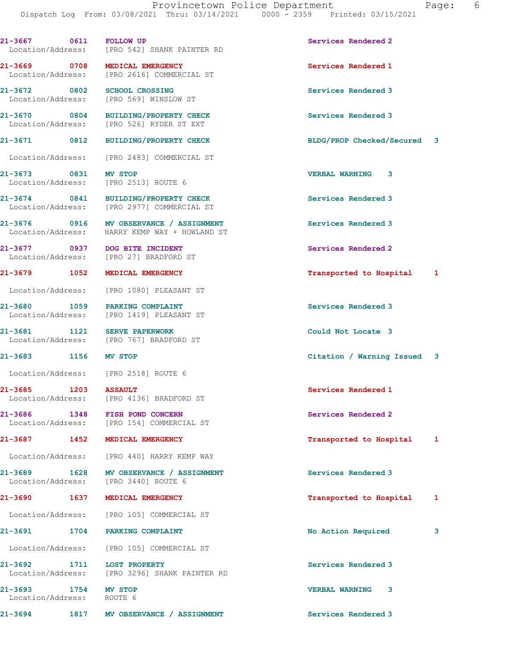21-3667 0611 FOLLOW UP Services Rendered 2 Location/Address: [PRO 542] SHANK PAINTER RD 21-3669 0708 MEDICAL EMERGENCY Services Rendered 1 Location/Address: [PRO 2616] COMMERCIAL ST 21-3672 0802 SCHOOL CROSSING Services Rendered 3 Location/Address: [PRO 569] WINSLOW ST 21-3670 0804 BUILDING/PROPERTY CHECK Services Rendered 3<br>
Location/Address: [PRO 526] RYDER ST EXT [PRO 526] RYDER ST EXT 21-3671 0812 BUILDING/PROPERTY CHECK BLDG/PROP Checked/Secured 3 Location/Address: [PRO 2483] COMMERCIAL ST 21-3673 0831 MV STOP VERBAL WARNING 3 Location/Address: [PRO 2513] ROUTE 6 21-3674 0841 BUILDING/PROPERTY CHECK Services Rendered 3 Location/Address: [PRO 2977] COMMERCIAL ST 21-3676 0916 MV OBSERVANCE / ASSIGNMENT Services Rendered 3 Location/Address: HARRY KEMP WAY + HOWLAND ST 21-3677 0937 DOG BITE INCIDENT Services Rendered 2 Location/Address: [PRO 27] BRADFORD ST 21-3679 1052 MEDICAL EMERGENCY Transported to Hospital 1 Location/Address: [PRO 1080] PLEASANT ST 21-3680 1059 PARKING COMPLAINT ST Services Rendered 3<br>
Location/Address: [PRO 1419] PLEASANT ST [PRO 1419] PLEASANT ST 21-3681 1121 SERVE PAPERWORK Could Not Locate 3 Location/Address: [PRO 767] BRADFORD ST 21-3683 1156 MV STOP Citation / Warning Issued 3 Location/Address: [PRO 2518] ROUTE 6 21-3685 1203 ASSAULT 20 Services Rendered 1 Location/Address: [PRO 4136] BRADFORD ST 21-3686 1348 FISH POND CONCERN Services Rendered 2 Location/Address: [PRO 154] COMMERCIAL ST 21-3687 1452 MEDICAL EMERGENCY Transported to Hospital 1 Location/Address: [PRO 440] HARRY KEMP WAY 21-3689 1628 MV OBSERVANCE / ASSIGNMENT Services Rendered 3 Location/Address: [PRO 3440] ROUTE 6 21-3690 1637 MEDICAL EMERGENCY **1637 169 MEDICAL EMERGENCY** 168 MEDICAL TRANSPORTED 1 Location/Address: [PRO 105] COMMERCIAL ST 21-3691 1704 PARKING COMPLAINT 1997 1998 No Action Required 3 Location/Address: [PRO 105] COMMERCIAL ST 21-3692 1711 LOST PROPERTY Services Rendered 3 Location/Address: [PRO 3296] SHANK PAINTER RD

21-3693 1754 MV STOP VERBAL WARNING 3 Location/Address: ROUTE 6

21-3694 1817 MV OBSERVANCE / ASSIGNMENT Services Rendered 3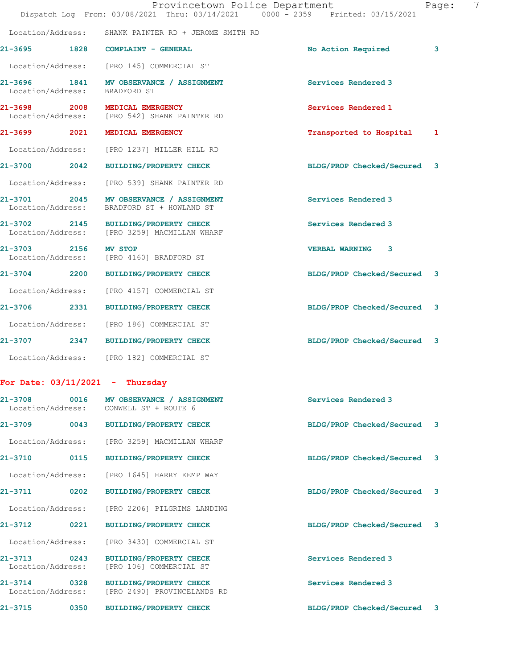|                                   |                           | Provincetown Police Department<br>Dispatch Log From: 03/08/2021 Thru: 03/14/2021 0000 - 2359 Printed: 03/15/2021 |                             | Page: | 7 |
|-----------------------------------|---------------------------|------------------------------------------------------------------------------------------------------------------|-----------------------------|-------|---|
| Location/Address:                 |                           | SHANK PAINTER RD + JEROME SMITH RD                                                                               |                             |       |   |
| 21-3695 1828                      |                           | COMPLAINT - GENERAL                                                                                              | No Action Required          | 3     |   |
|                                   |                           | Location/Address: [PRO 145] COMMERCIAL ST                                                                        |                             |       |   |
| Location/Address:                 |                           | 21-3696 1841 MV OBSERVANCE / ASSIGNMENT<br>BRADFORD ST                                                           | Services Rendered 3         |       |   |
| 21-3698<br>Location/Address:      | 2008 مار                  | MEDICAL EMERGENCY<br>[PRO 542] SHANK PAINTER RD                                                                  | Services Rendered 1         |       |   |
| 21-3699                           | 2021                      | MEDICAL EMERGENCY                                                                                                | Transported to Hospital     | 1     |   |
| Location/Address:                 |                           | [PRO 1237] MILLER HILL RD                                                                                        |                             |       |   |
| 21-3700 2042                      |                           | BUILDING/PROPERTY CHECK                                                                                          | BLDG/PROP Checked/Secured 3 |       |   |
| Location/Address:                 |                           | [PRO 539] SHANK PAINTER RD                                                                                       |                             |       |   |
| 21-3701 2045<br>Location/Address: |                           | MV OBSERVANCE / ASSIGNMENT<br>BRADFORD ST + HOWLAND ST                                                           | Services Rendered 3         |       |   |
| 21-3702                           | 2145<br>Location/Address: | <b>BUILDING/PROPERTY CHECK</b><br>[PRO 3259] MACMILLAN WHARF                                                     | Services Rendered 3         |       |   |
| $21 - 3703$<br>Location/Address:  | 2156                      | <b>MV STOP</b><br>[PRO 4160] BRADFORD ST                                                                         | <b>VERBAL WARNING</b><br>3  |       |   |
| $21 - 3704$                       |                           | 2200 BUILDING/PROPERTY CHECK                                                                                     | BLDG/PROP Checked/Secured 3 |       |   |
|                                   | Location/Address:         | [PRO 4157] COMMERCIAL ST                                                                                         |                             |       |   |
|                                   |                           | 21-3706 2331 BUILDING/PROPERTY CHECK                                                                             | BLDG/PROP Checked/Secured   | 3     |   |
|                                   | Location/Address:         | [PRO 186] COMMERCIAL ST                                                                                          |                             |       |   |
| 21-3707                           |                           | 2347 BUILDING/PROPERTY CHECK                                                                                     | BLDG/PROP Checked/Secured 3 |       |   |
|                                   |                           | Location/Address: [PRO 182] COMMERCIAL ST                                                                        |                             |       |   |
|                                   |                           | For Date: $03/11/2021$ - Thursday                                                                                |                             |       |   |
| $21 - 3708$                       |                           | 0016 MV OBSERVANCE / ASSIGNMENT<br>Location/Address: CONWELL ST + ROUTE 6                                        | Services Rendered 3         |       |   |
| $21 - 3709$                       | 0043                      | <b>BUILDING/PROPERTY CHECK</b>                                                                                   | BLDG/PROP Checked/Secured   | 3     |   |

Location/Address: [PRO 3259] MACMILLAN WHARF

21-3710 0115 BUILDING/PROPERTY CHECK BLDG/PROP Checked/Secured 3

Location/Address: [PRO 1645] HARRY KEMP WAY

21-3711 0202 BUILDING/PROPERTY CHECK BLDG/PROP Checked/Secured 3

Location/Address: [PRO 2206] PILGRIMS LANDING

21-3712 0221 BUILDING/PROPERTY CHECK BLDG/PROP Checked/Secured 3

Location/Address: [PRO 3430] COMMERCIAL ST

21-3713 0243 BUILDING/PROPERTY CHECK Services Rendered 3 Location/Address: [PRO 106] COMMERCIAL ST

21-3714 0328 BUILDING/PROPERTY CHECK Services Rendered 3 Location/Address: [PRO 2490] PROVINCELANDS RD

21-3715 0350 BUILDING/PROPERTY CHECK BLDG/PROP Checked/Secured 3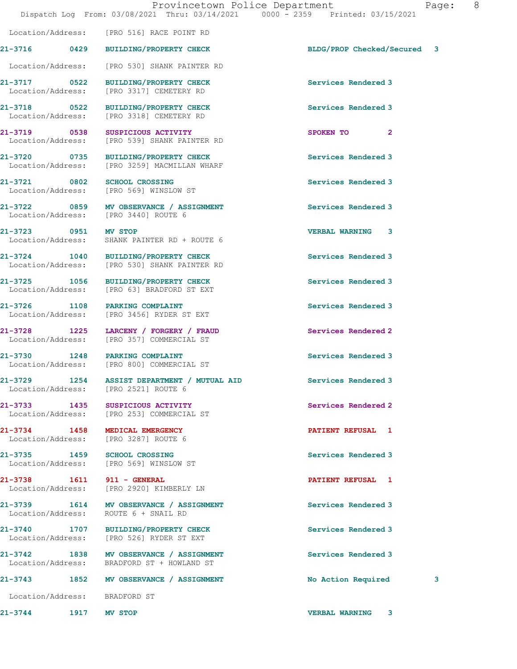Location/Address: [PRO 516] RACE POINT RD 21-3716 0429 BUILDING/PROPERTY CHECK BLDG/PROP Checked/Secured 3

Location/Address: [PRO 530] SHANK PAINTER RD

21-3717 0522 BUILDING/PROPERTY CHECK Services Rendered 3

21-3718 0522 BUILDING/PROPERTY CHECK Services Rendered 3

Location/Address: [PRO 2521] ROUTE 6

21-3734 1458 MEDICAL EMERGENCY **1458 MEDICAL EMERGENCY** 21-3734 PATIENT REFUSAL 1

Location/Address: ROUTE 6 + SNAIL RD

Location/Address: BRADFORD ST

 Location/Address: [PRO 3317] CEMETERY RD [PRO 3318] CEMETERY RD

21-3719 0538 SUSPICIOUS ACTIVITY **SPOKEN TO** 2 Location/Address: [PRO 539] SHANK PAINTER RD

21-3720 0735 BUILDING/PROPERTY CHECK Services Rendered 3 Location/Address: [PRO 3259] MACMILLAN WHARF

21-3721 0802 SCHOOL CROSSING Services Rendered 3 Location/Address: [PRO 569] WINSLOW ST

21-3722 0859 MV OBSERVANCE / ASSIGNMENT Services Rendered 3 Location/Address: [PRO 3440] ROUTE 6

21-3723 0951 MV STOP VERBAL WARNING 3 Location/Address: SHANK PAINTER RD + ROUTE 6

21-3724 1040 BUILDING/PROPERTY CHECK Services Rendered 3 Location/Address: [PRO 530] SHANK PAINTER RD

21-3725 1056 BUILDING/PROPERTY CHECK Services Rendered 3 Location/Address: [PRO 63] BRADFORD ST EXT

21-3726 1108 PARKING COMPLAINT (21-3726 1108 PARKING COMPLAINT) Services Rendered 3 Location/Address: [PRO 3456] RYDER ST EXT

21-3728 1225 LARCENY / FORGERY / FRAUD Services Rendered 2 Location/Address: [PRO 357] COMMERCIAL ST

21-3730 1248 PARKING COMPLAINT Services Rendered 3<br>
Location/Address: [PRO 800] COMMERCIAL ST [PRO 800] COMMERCIAL ST

21-3729 1254 ASSIST DEPARTMENT / MUTUAL AID Services Rendered 3

21-3733 1435 SUSPICIOUS ACTIVITY Services Rendered 2 Location/Address: [PRO 253] COMMERCIAL ST

Location/Address: [PRO 3287] ROUTE 6

21-3735 1459 SCHOOL CROSSING<br>
Location/Address: [PRO 569] WINSLOW ST [PRO 569] WINSLOW ST

21-3738 1611 911 - GENERAL PATIENT REFUSAL 1 Location/Address: [PRO 2920] KIMBERLY LN

21-3739 1614 MV OBSERVANCE / ASSIGNMENT Services Rendered 3

21-3740 1707 BUILDING/PROPERTY CHECK Services Rendered 3 Location/Address: [PRO 526] RYDER ST EXT

21-3742 1838 MV OBSERVANCE / ASSIGNMENT Services Rendered 3 Location/Address: BRADFORD ST + HOWLAND ST

21-3743 1852 MV OBSERVANCE / ASSIGNMENT No Action Required 3

21-3744 1917 MV STOP VERBAL WARNING 3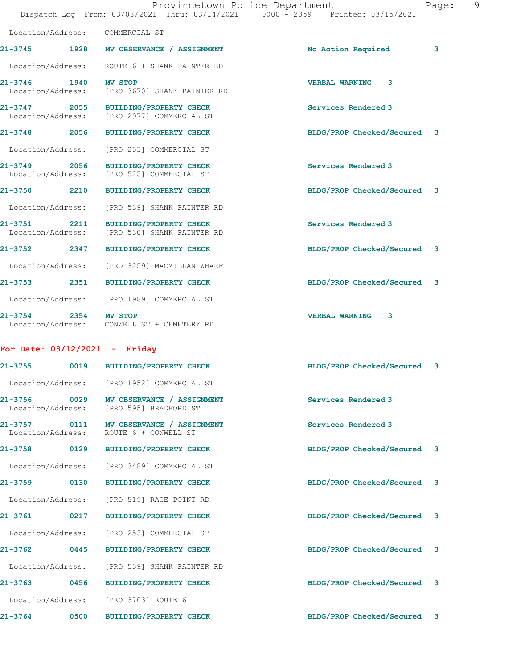|                                   | Provincetown Police Department<br>Dispatch Log From: 03/08/2021 Thru: 03/14/2021 0000 - 2359 Printed: 03/15/2021 |                             | 9<br>Page: |
|-----------------------------------|------------------------------------------------------------------------------------------------------------------|-----------------------------|------------|
| Location/Address:                 | COMMERCIAL ST                                                                                                    |                             |            |
|                                   | 21-3745 1928 MV OBSERVANCE / ASSIGNMENT                                                                          | No Action Required          | 3          |
|                                   | Location/Address: ROUTE 6 + SHANK PAINTER RD                                                                     |                             |            |
| 21-3746 1940<br>Location/Address: | <b>MV STOP</b><br>[PRO 3670] SHANK PAINTER RD                                                                    | <b>VERBAL WARNING 3</b>     |            |
| Location/Address:                 | 21-3747 2055 BUILDING/PROPERTY CHECK<br>[PRO 2977] COMMERCIAL ST                                                 | Services Rendered 3         |            |
|                                   | 21-3748 2056 BUILDING/PROPERTY CHECK                                                                             | BLDG/PROP Checked/Secured 3 |            |
| Location/Address:                 | [PRO 253] COMMERCIAL ST                                                                                          |                             |            |
| 21-3749 2056<br>Location/Address: | BUILDING/PROPERTY CHECK<br>[PRO 525] COMMERCIAL ST                                                               | Services Rendered 3         |            |
| 21-3750 2210                      | BUILDING/PROPERTY CHECK                                                                                          | BLDG/PROP Checked/Secured 3 |            |
| Location/Address:                 | [PRO 539] SHANK PAINTER RD                                                                                       |                             |            |
| 21-3751 2211<br>Location/Address: | <b>BUILDING/PROPERTY CHECK</b><br>[PRO 530] SHANK PAINTER RD                                                     | Services Rendered 3         |            |
| 21-3752 2347                      | BUILDING/PROPERTY CHECK                                                                                          | BLDG/PROP Checked/Secured 3 |            |
| Location/Address:                 | [PRO 3259] MACMILLAN WHARF                                                                                       |                             |            |
| 21-3753 2351                      | BUILDING/PROPERTY CHECK                                                                                          | BLDG/PROP Checked/Secured 3 |            |
| Location/Address:                 | [PRO 1989] COMMERCIAL ST                                                                                         |                             |            |
| $21 - 3754$                       | 2354 MV STOP<br>Location/Address: CONWELL ST + CEMETERY RD                                                       | <b>VERBAL WARNING</b><br>3  |            |
| For Date: $03/12/2021$ - Friday   |                                                                                                                  |                             |            |

| 21-3755 0019                      |                   | <b>BUILDING/PROPERTY CHECK</b>                      | BLDG/PROP Checked/Secured 3 |  |
|-----------------------------------|-------------------|-----------------------------------------------------|-----------------------------|--|
| Location/Address:                 |                   | [PRO 1952] COMMERCIAL ST                            |                             |  |
| 21-3756 0029<br>Location/Address: |                   | MV OBSERVANCE / ASSIGNMENT<br>[PRO 595] BRADFORD ST | Services Rendered 3         |  |
| 21-3757 0111                      | Location/Address: | MV OBSERVANCE / ASSIGNMENT<br>ROUTE 6 + CONWELL ST  | Services Rendered 3         |  |
| 21-3758 0129                      |                   | <b>BUILDING/PROPERTY CHECK</b>                      | BLDG/PROP Checked/Secured 3 |  |
| Location/Address:                 |                   | [PRO 3489] COMMERCIAL ST                            |                             |  |
| 21-3759 0130                      |                   | <b>BUILDING/PROPERTY CHECK</b>                      | BLDG/PROP Checked/Secured 3 |  |
|                                   | Location/Address: | [PRO 519] RACE POINT RD                             |                             |  |
| 21-3761 0217                      |                   | <b>BUILDING/PROPERTY CHECK</b>                      | BLDG/PROP Checked/Secured 3 |  |
| Location/Address:                 |                   | [PRO 253] COMMERCIAL ST                             |                             |  |
| 21-3762 0445                      |                   | <b>BUILDING/PROPERTY CHECK</b>                      | BLDG/PROP Checked/Secured 3 |  |
| Location/Address:                 |                   | [PRO 539] SHANK PAINTER RD                          |                             |  |
| 21-3763 0456                      |                   | <b>BUILDING/PROPERTY CHECK</b>                      | BLDG/PROP Checked/Secured 3 |  |
|                                   | Location/Address: | [PRO 3703] ROUTE 6                                  |                             |  |
| $21 - 3764$                       | 0500              | <b>BUILDING/PROPERTY CHECK</b>                      | BLDG/PROP Checked/Secured 3 |  |
|                                   |                   |                                                     |                             |  |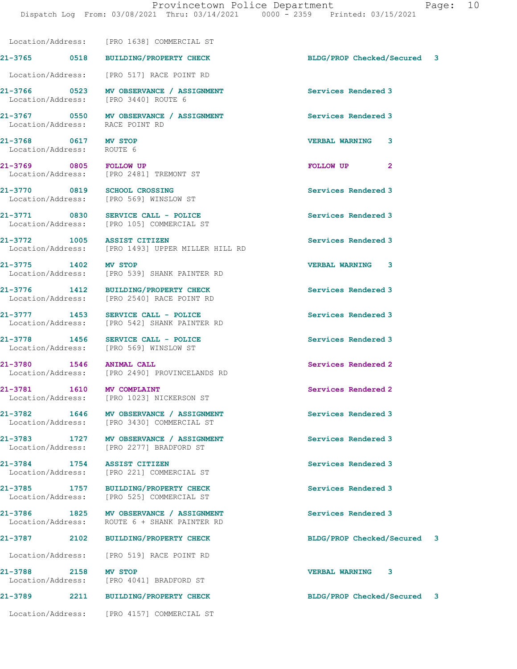Location/Address: [PRO 1638] COMMERCIAL ST

21-3765 0518 BUILDING/PROPERTY CHECK BLDG/PROP Checked/Secured 3 Location/Address: [PRO 517] RACE POINT RD 21-3766 0523 MV OBSERVANCE / ASSIGNMENT Services Rendered 3 Location/Address: [PRO 3440] ROUTE 6 21-3767 0550 MV OBSERVANCE / ASSIGNMENT Services Rendered 3<br>
Location/Address: RACE POINT RD Location/Address: 21-3768 0617 MV STOP VERBAL WARNING 3 Location/Address: ROUTE 6 21-3769 0805 FOLLOW UP 201-3769 POLLOW UP 2 Location/Address: [PRO 2481] TREMONT ST 21-3770 0819 SCHOOL CROSSING Services Rendered 3 Location/Address: [PRO 569] WINSLOW ST 21-3771 0830 SERVICE CALL - POLICE 30 Services Rendered 3 Location/Address: [PRO 105] COMMERCIAL ST 21-3772 1005 ASSIST CITIZEN Services Rendered 3 Location/Address: [PRO 1493] UPPER MILLER HILL RD 21-3775 1402 MV STOP VERBAL WARNING 3 Location/Address: [PRO 539] SHANK PAINTER RD 21-3776 1412 BUILDING/PROPERTY CHECK Services Rendered 3 Location/Address: [PRO 2540] RACE POINT RD 21-3777 1453 SERVICE CALL - POLICE Services Rendered 3 Location/Address: [PRO 542] SHANK PAINTER RD 21-3778 1456 SERVICE CALL - POLICE SERVICE SERVICE Services Rendered 3<br>
Location/Address: [PRO 569] WINSLOW ST Location/Address: 21-3780 1546 ANIMAL CALL 21-3780 1546 2 Services Rendered 2<br>
Location/Address: [PRO 2490] PROVINCELANDS RD [PRO 2490] PROVINCELANDS RD 21-3781 1610 MV COMPLAINT Services Rendered 2 Location/Address: [PRO 1023] NICKERSON ST 21-3782 1646 MV OBSERVANCE / ASSIGNMENT Services Rendered 3 Location/Address: [PRO 3430] COMMERCIAL ST 21-3783 1727 MV OBSERVANCE / ASSIGNMENT Services Rendered 3 Location/Address: [PRO 2277] BRADFORD ST 21-3784 1754 ASSIST CITIZEN Services Rendered 3<br>
Location/Address: [PRO 221] COMMERCIAL ST [PRO 221] COMMERCIAL ST 21-3785 1757 BUILDING/PROPERTY CHECK Services Rendered 3 Location/Address: [PRO 525] COMMERCIAL ST 21-3786 1825 MV OBSERVANCE / ASSIGNMENT Services Rendered 3 Location/Address: ROUTE 6 + SHANK PAINTER RD 21-3787 2102 BUILDING/PROPERTY CHECK BLDG/PROP Checked/Secured 3 Location/Address: [PRO 519] RACE POINT RD 21-3788 2158 MV STOP 20158 2158 MV STOP 2158 21-3788 VERBAL WARNING 3 [PRO 4041] BRADFORD ST 21-3789 2211 BUILDING/PROPERTY CHECK BLDG/PROP Checked/Secured 3 Location/Address: [PRO 4157] COMMERCIAL ST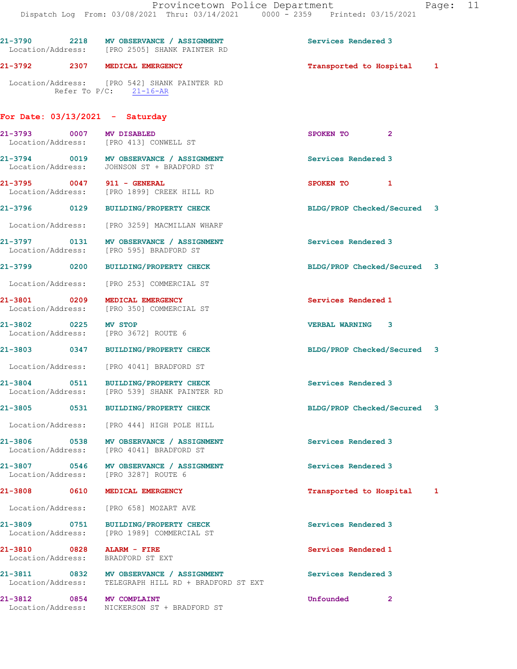|                                   |                   | 21-3790 2218 MV OBSERVANCE / ASSIGNMENT<br>Location/Address: [PRO 2505] SHANK PAINTER RD         | Services Rendered 3         |              |
|-----------------------------------|-------------------|--------------------------------------------------------------------------------------------------|-----------------------------|--------------|
|                                   |                   | 21-3792 2307 MEDICAL EMERGENCY                                                                   | Transported to Hospital     | $\mathbf{1}$ |
|                                   |                   | Location/Address: [PRO 542] SHANK PAINTER RD<br>Refer To $P/C$ : 21-16-AR                        |                             |              |
|                                   |                   | For Date: $03/13/2021$ - Saturday                                                                |                             |              |
|                                   |                   | 21-3793 0007 MV DISABLED<br>Location/Address: [PRO 413] CONWELL ST                               | SPOKEN TO 2                 |              |
|                                   |                   | 21-3794 0019 MV OBSERVANCE / ASSIGNMENT<br>Location/Address: JOHNSON ST + BRADFORD ST            | Services Rendered 3         |              |
|                                   |                   | 21-3795 0047 911 - GENERAL<br>Location/Address: [PRO 1899] CREEK HILL RD                         | SPOKEN TO 1                 |              |
|                                   |                   | 21-3796 0129 BUILDING/PROPERTY CHECK                                                             | BLDG/PROP Checked/Secured 3 |              |
|                                   |                   | Location/Address: [PRO 3259] MACMILLAN WHARF                                                     |                             |              |
|                                   |                   | 21-3797 0131 MV OBSERVANCE / ASSIGNMENT<br>Location/Address: [PRO 595] BRADFORD ST               | Services Rendered 3         |              |
| 21-3799 0200                      |                   | BUILDING/PROPERTY CHECK                                                                          | BLDG/PROP Checked/Secured 3 |              |
|                                   |                   | Location/Address: [PRO 253] COMMERCIAL ST                                                        |                             |              |
|                                   |                   | 21-3801 0209 MEDICAL EMERGENCY<br>Location/Address: [PRO 350] COMMERCIAL ST                      | Services Rendered 1         |              |
| 21-3802 0225 MV STOP              |                   | Location/Address: [PRO 3672] ROUTE 6                                                             | VERBAL WARNING 3            |              |
|                                   |                   | 21-3803 0347 BUILDING/PROPERTY CHECK                                                             | BLDG/PROP Checked/Secured 3 |              |
|                                   |                   | Location/Address: [PRO 4041] BRADFORD ST                                                         |                             |              |
|                                   |                   | 21-3804 0511 BUILDING/PROPERTY CHECK<br>Location/Address: [PRO 539] SHANK PAINTER RD             | Services Rendered 3         |              |
| 21-3805                           | $\overline{0531}$ | <b>BUILDING/PROPERTY CHECK</b>                                                                   | BLDG/PROP Checked/Secured 3 |              |
|                                   |                   | Location/Address: [PRO 444] HIGH POLE HILL                                                       |                             |              |
|                                   |                   | Location/Address: [PRO 4041] BRADFORD ST                                                         | Services Rendered 3         |              |
|                                   |                   | 21-3807 0546 MV OBSERVANCE / ASSIGNMENT<br>Location/Address: [PRO 3287] ROUTE 6                  | Services Rendered 3         |              |
|                                   |                   | 21-3808 0610 MEDICAL EMERGENCY                                                                   | Transported to Hospital     | 1            |
|                                   |                   | Location/Address: [PRO 658] MOZART AVE                                                           |                             |              |
| 21-3809 0751<br>Location/Address: |                   | <b>BUILDING/PROPERTY CHECK</b><br>[PRO 1989] COMMERCIAL ST                                       | Services Rendered 3         |              |
| 21-3810 0828                      |                   | <b>ALARM - FIRE</b><br>Location/Address: BRADFORD ST EXT                                         | Services Rendered 1         |              |
|                                   |                   | 21-3811 0832 MV OBSERVANCE / ASSIGNMENT<br>Location/Address: TELEGRAPH HILL RD + BRADFORD ST EXT | Services Rendered 3         |              |
|                                   |                   | 21-3812 0854 MV COMPLAINT<br>Location/Address: NICKERSON ST + BRADFORD ST                        | Unfounded<br>2              |              |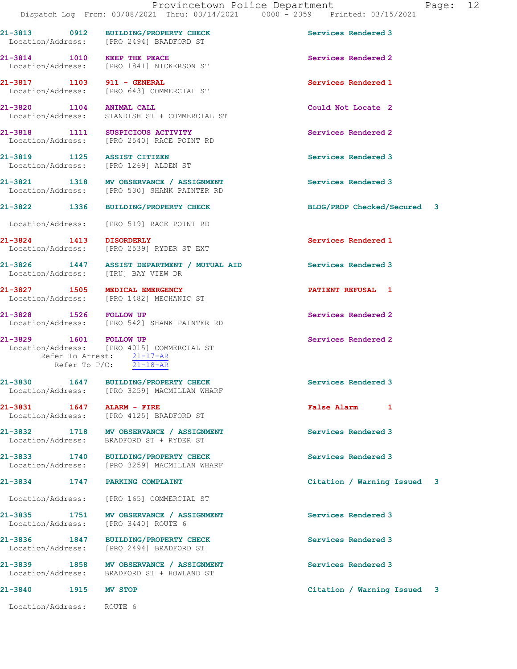21-3813 0912 BUILDING/PROPERTY CHECK Services Rendered 3 Location/Address: [PRO 2494] BRADFORD ST

21-3814 1010 KEEP THE PEACE Services Rendered 2 Location/Address: [PRO 1841] NICKERSON ST

21-3817 1103 911 - GENERAL Services Rendered 1 Location/Address: [PRO 643] COMMERCIAL ST

21-3820 1104 ANIMAL CALL 21-3820 1104 2 Could Not Locate 2

21-3818 1111 SUSPICIOUS ACTIVITY Services Rendered 2 Location/Address: [PRO 2540] RACE POINT RD

21-3819 1125 ASSIST CITIZEN Services Rendered 3 Location/Address: [PRO 1269] ALDEN ST

21-3821 1318 MV OBSERVANCE / ASSIGNMENT Services Rendered 3<br>
Location/Address: [PRO 530] SHANK PAINTER RD

Location/Address: [PRO 519] RACE POINT RD

21-3824 1413 DISORDERLY Services Rendered 1<br>
Location/Address: [PRO 2539] RYDER ST EXT

21-3826 1447 ASSIST DEPARTMENT / MUTUAL AID Services Rendered 3 Location/Address: [TRU] BAY VIEW DR

21-3827 1505 MEDICAL EMERGENCY PATIENT REFUSAL 1 Location/Address: [PRO 1482] MECHANIC ST

21-3828 1526 FOLLOW UP Services Rendered 2

 Location/Address: [PRO 542] SHANK PAINTER RD 21-3829 1601 FOLLOW UP Services Rendered 2

STANDISH ST + COMMERCIAL ST

[PRO 530] SHANK PAINTER RD

[PRO 2539] RYDER ST EXT

 Location/Address: [PRO 4015] COMMERCIAL ST Refer To Arrest: 21-17-AR Refer To P/C: 21-18-AR

21-3830 1647 BUILDING/PROPERTY CHECK Services Rendered 3 Location/Address: [PRO 3259] MACMILLAN WHARF

21-3831 1647 ALARM - FIRE False Alarm 1 Location/Address: [PRO 4125] BRADFORD ST

21-3832 1718 MV OBSERVANCE / ASSIGNMENT Services Rendered 3 Location/Address: BRADFORD ST + RYDER ST

21-3833 1740 BUILDING/PROPERTY CHECK Services Rendered 3 Location/Address: [PRO 3259] MACMILLAN WHARF

21-3834 1747 PARKING COMPLAINT Citation / Warning Issued 3

Location/Address: [PRO 165] COMMERCIAL ST

21-3835 1751 MV OBSERVANCE / ASSIGNMENT Services Rendered 3 Location/Address: [PRO 3440] ROUTE 6

21-3836 1847 BUILDING/PROPERTY CHECK Services Rendered 3 Location/Address: [PRO 2494] BRADFORD ST

21-3839 1858 MV OBSERVANCE / ASSIGNMENT Services Rendered 3 Location/Address: BRADFORD ST + HOWLAND ST

Location/Address: ROUTE 6

21-3822 1336 BUILDING/PROPERTY CHECK BLDG/PROP Checked/Secured 3

21-3840 1915 MV STOP Citation / Warning Issued 3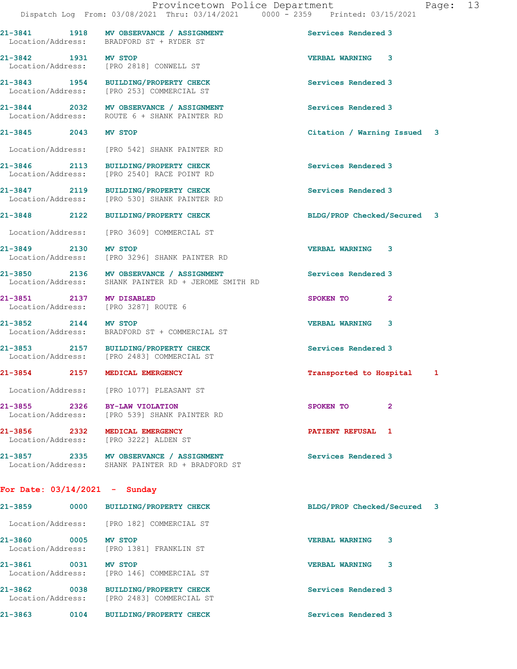21-3841 1918 MV OBSERVANCE / ASSIGNMENT Services Rendered 3

21-3842 1931 MV STOP VERBAL WARNING 3

Location/Address: BRADFORD ST + RYDER ST

Location/Address: [PRO 2818] CONWELL ST

21-3843 1954 BUILDING/PROPERTY CHECK Services Rendered 3 Location/Address: [PRO 253] COMMERCIAL ST 21-3844 2032 MV OBSERVANCE / ASSIGNMENT Services Rendered 3 Location/Address: ROUTE 6 + SHANK PAINTER RD 21-3845 2043 MV STOP Citation / Warning Issued 3 Location/Address: [PRO 542] SHANK PAINTER RD 21-3846 2113 BUILDING/PROPERTY CHECK Services Rendered 3 Location/Address: [PRO 2540] RACE POINT RD 21-3847 2119 BUILDING/PROPERTY CHECK Services Rendered 3<br>
Location/Address: [PRO 530] SHANK PAINTER RD [PRO 530] SHANK PAINTER RD 21-3848 2122 BUILDING/PROPERTY CHECK BLDG/PROP Checked/Secured 3 Location/Address: [PRO 3609] COMMERCIAL ST 21-3849 2130 MV STOP 2000 2130 VERBAL WARNING 3<br>
Location/Address: [PRO 3296] SHANK PAINTER RD [PRO 3296] SHANK PAINTER RD 21-3850 2136 MV OBSERVANCE / ASSIGNMENT Services Rendered 3 Location/Address: SHANK PAINTER RD + JEROME SMITH RD 21-3851 2137 MV DISABLED SPOKEN TO 2 Location/Address: [PRO 3287] ROUTE 6 21-3852 2144 MV STOP VERBAL WARNING 3 Location/Address: BRADFORD ST + COMMERCIAL ST 21-3853 2157 BUILDING/PROPERTY CHECK Services Rendered 3<br>
Location/Address: [PRO 2483] COMMERCIAL ST [PRO 2483] COMMERCIAL ST 21-3854 2157 MEDICAL EMERGENCY Transported to Hospital 1 Location/Address: [PRO 1077] PLEASANT ST 21-3855 2326 BY-LAW VIOLATION SPOKEN TO 2 Location/Address: [PRO 539] SHANK PAINTER RD 21-3856 2332 MEDICAL EMERGENCY PATIENT REFUSAL 1 Location/Address: [PRO 3222] ALDEN ST 21-3857 2335 MV OBSERVANCE / ASSIGNMENT Services Rendered 3 Location/Address: SHANK PAINTER RD + BRADFORD ST For Date: 03/14/2021 - Sunday

21-3859 0000 BUILDING/PROPERTY CHECK BLDG/PROP Checked/Secured 3 Location/Address: [PRO 182] COMMERCIAL ST 21-3860 0005 MV STOP 21-3860 Location/Address: [PRO 1381] FRANKLIN ST 21-3861 0031 MV STOP VERBAL WARNING 3 Location/Address: [PRO 146] COMMERCIAL ST 21-3862 0038 BUILDING/PROPERTY CHECK Services Rendered 3 Location/Address: [PRO 2483] COMMERCIAL ST 21-3863 0104 BUILDING/PROPERTY CHECK Services Rendered 3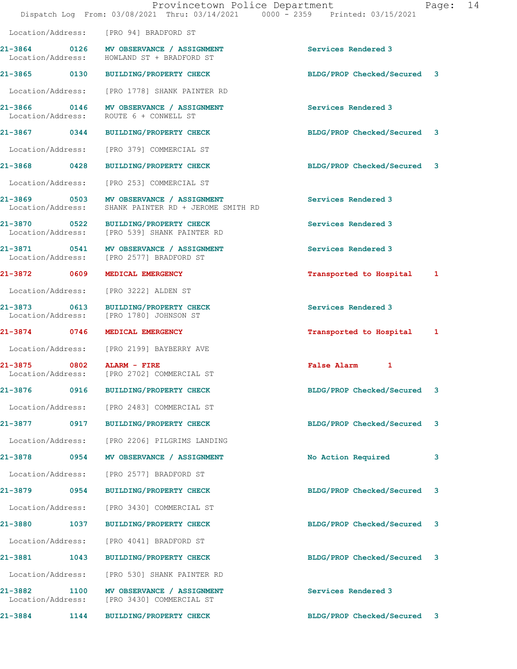|                                   |      | Provincetown Police Department<br>Dispatch Log From: 03/08/2021 Thru: 03/14/2021 0000 - 2359 Printed: 03/15/2021 |                             | Page: 14 |  |
|-----------------------------------|------|------------------------------------------------------------------------------------------------------------------|-----------------------------|----------|--|
|                                   |      | Location/Address: [PRO 94] BRADFORD ST                                                                           |                             |          |  |
|                                   |      | 21-3864 0126 MV OBSERVANCE / ASSIGNMENT<br>Location/Address: HOWLAND ST + BRADFORD ST                            | Services Rendered 3         |          |  |
|                                   |      | 21-3865 0130 BUILDING/PROPERTY CHECK                                                                             | BLDG/PROP Checked/Secured 3 |          |  |
|                                   |      | Location/Address: [PRO 1778] SHANK PAINTER RD                                                                    |                             |          |  |
|                                   |      | 21-3866 0146 MV OBSERVANCE / ASSIGNMENT<br>Location/Address: ROUTE 6 + CONWELL ST                                | Services Rendered 3         |          |  |
|                                   |      | 21-3867 0344 BUILDING/PROPERTY CHECK                                                                             | BLDG/PROP Checked/Secured 3 |          |  |
|                                   |      | Location/Address: [PRO 379] COMMERCIAL ST                                                                        |                             |          |  |
|                                   |      | 21-3868 0428 BUILDING/PROPERTY CHECK                                                                             | BLDG/PROP Checked/Secured 3 |          |  |
| Location/Address:                 |      | [PRO 253] COMMERCIAL ST                                                                                          |                             |          |  |
| Location/Address:                 |      | 21-3869 0503 MV OBSERVANCE / ASSIGNMENT<br>SHANK PAINTER RD + JEROME SMITH RD                                    | Services Rendered 3         |          |  |
|                                   |      | 21-3870 0522 BUILDING/PROPERTY CHECK<br>Location/Address: [PRO 539] SHANK PAINTER RD                             | Services Rendered 3         |          |  |
|                                   |      | 21-3871 0541 MV OBSERVANCE / ASSIGNMENT<br>Location/Address: [PRO 2577] BRADFORD ST                              | Services Rendered 3         |          |  |
| 21-3872 0609                      |      | <b>MEDICAL EMERGENCY</b>                                                                                         | Transported to Hospital 1   |          |  |
|                                   |      | Location/Address: [PRO 3222] ALDEN ST                                                                            |                             |          |  |
|                                   |      | 21-3873 0613 BUILDING/PROPERTY CHECK<br>Location/Address: [PRO 1780] JOHNSON ST                                  | Services Rendered 3         |          |  |
|                                   |      | 21-3874 0746 MEDICAL EMERGENCY                                                                                   | Transported to Hospital 1   |          |  |
|                                   |      | Location/Address: [PRO 2199] BAYBERRY AVE                                                                        |                             |          |  |
| 21-3875 0802                      |      | ALARM - FIRE<br>Location/Address: [PRO 2702] COMMERCIAL ST                                                       | False Alarm 1               |          |  |
|                                   |      | 21-3876 0916 BUILDING/PROPERTY CHECK                                                                             | BLDG/PROP Checked/Secured   | 3        |  |
|                                   |      | Location/Address: [PRO 2483] COMMERCIAL ST                                                                       |                             |          |  |
|                                   |      | 21-3877 0917 BUILDING/PROPERTY CHECK                                                                             | BLDG/PROP Checked/Secured 3 |          |  |
|                                   |      | Location/Address: [PRO 2206] PILGRIMS LANDING                                                                    |                             |          |  |
|                                   |      | 21-3878 0954 MV OBSERVANCE / ASSIGNMENT                                                                          | No Action Required          | 3        |  |
|                                   |      | Location/Address: [PRO 2577] BRADFORD ST                                                                         |                             |          |  |
|                                   |      | 21-3879 0954 BUILDING/PROPERTY CHECK                                                                             | BLDG/PROP Checked/Secured   | 3        |  |
|                                   |      | Location/Address: [PRO 3430] COMMERCIAL ST                                                                       |                             |          |  |
| 21-3880 1037                      |      | <b>BUILDING/PROPERTY CHECK</b>                                                                                   | BLDG/PROP Checked/Secured 3 |          |  |
| Location/Address:                 |      | [PRO 4041] BRADFORD ST                                                                                           |                             |          |  |
| 21-3881 1043                      |      | BUILDING/PROPERTY CHECK                                                                                          | BLDG/PROP Checked/Secured 3 |          |  |
|                                   |      | Location/Address: [PRO 530] SHANK PAINTER RD                                                                     |                             |          |  |
| 21-3882 1100<br>Location/Address: |      | MV OBSERVANCE / ASSIGNMENT<br>[PRO 3430] COMMERCIAL ST                                                           | Services Rendered 3         |          |  |
| 21-3884                           | 1144 | BUILDING/PROPERTY CHECK                                                                                          | BLDG/PROP Checked/Secured   | 3        |  |